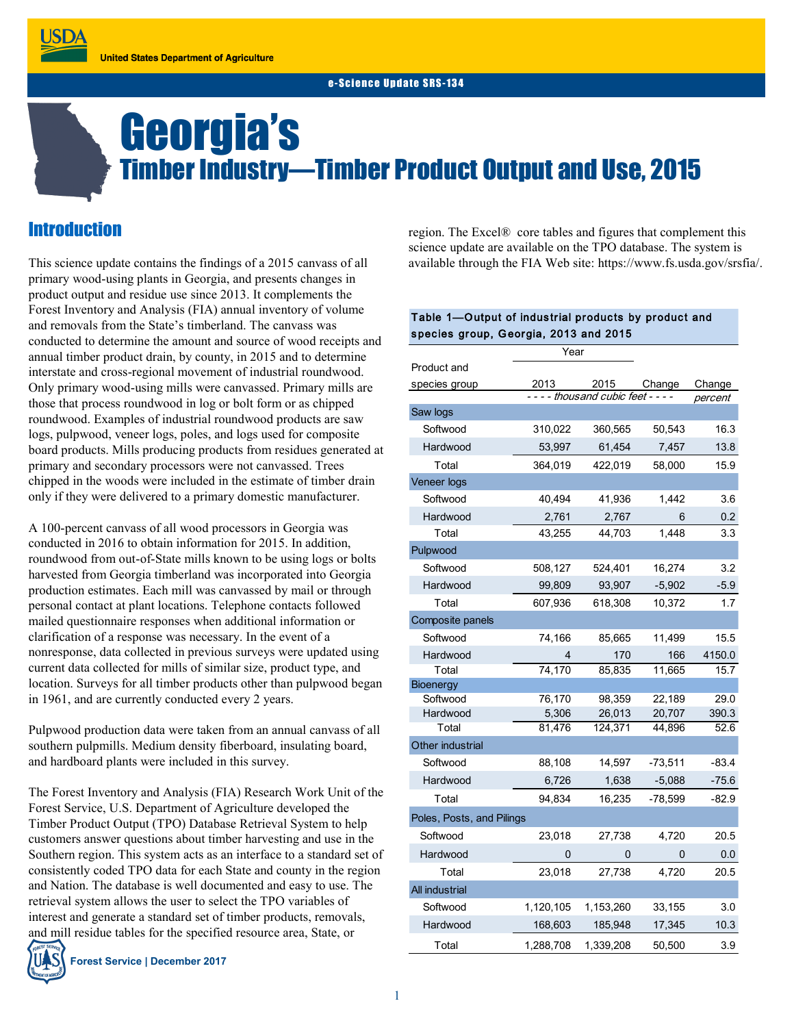# Georgia's Timber Industry—Timber Product Output and Use, 2015

# **Introduction**

**USDA** 

This science update contains the findings of a 2015 canvass of all primary wood-using plants in Georgia, and presents changes in product output and residue use since 2013. It complements the Forest Inventory and Analysis (FIA) annual inventory of volume and removals from the State's timberland. The canvass was conducted to determine the amount and source of wood receipts and annual timber product drain, by county, in 2015 and to determine interstate and cross-regional movement of industrial roundwood. Only primary wood-using mills were canvassed. Primary mills are those that process roundwood in log or bolt form or as chipped roundwood. Examples of industrial roundwood products are saw logs, pulpwood, veneer logs, poles, and logs used for composite board products. Mills producing products from residues generated at primary and secondary processors were not canvassed. Trees chipped in the woods were included in the estimate of timber drain only if they were delivered to a primary domestic manufacturer.

A 100-percent canvass of all wood processors in Georgia was conducted in 2016 to obtain information for 2015. In addition, roundwood from out-of-State mills known to be using logs or bolts harvested from Georgia timberland was incorporated into Georgia production estimates. Each mill was canvassed by mail or through personal contact at plant locations. Telephone contacts followed mailed questionnaire responses when additional information or clarification of a response was necessary. In the event of a nonresponse, data collected in previous surveys were updated using current data collected for mills of similar size, product type, and location. Surveys for all timber products other than pulpwood began in 1961, and are currently conducted every 2 years.

Pulpwood production data were taken from an annual canvass of all southern pulpmills. Medium density fiberboard, insulating board, and hardboard plants were included in this survey.

The Forest Inventory and Analysis (FIA) Research Work Unit of the Forest Service, U.S. Department of Agriculture developed the Timber Product Output (TPO) Database Retrieval System to help customers answer questions about timber harvesting and use in the Southern region. This system acts as an interface to a standard set of consistently coded TPO data for each State and county in the region and Nation. The database is well documented and easy to use. The retrieval system allows the user to select the TPO variables of interest and generate a standard set of timber products, removals, and mill residue tables for the specified resource area, State, or

**Forest Service | December 2017**

region. The Excel® core tables and figures that complement this science update are available on the TPO database. The system is available through the FIA Web site: https://www.fs.usda.gov/srsfia/.

#### Table 1—Output of industrial products by product and species group, Georgia, 2013 and 2015

|                                     | Year      |           |           |         |
|-------------------------------------|-----------|-----------|-----------|---------|
| Product and                         |           |           |           |         |
| species group                       | 2013      | 2015      | Change    | Change  |
| - - - - thousand cubic feet - - - - |           |           | percent   |         |
| Saw logs                            |           |           |           |         |
| Softwood                            | 310,022   | 360,565   | 50,543    | 16.3    |
| Hardwood                            | 53,997    | 61,454    | 7,457     | 13.8    |
| Total                               | 364,019   | 422,019   | 58,000    | 15.9    |
| Veneer logs                         |           |           |           |         |
| Softwood                            | 40.494    | 41,936    | 1.442     | 3.6     |
| Hardwood                            | 2,761     | 2,767     | 6         | 0.2     |
| Total                               | 43,255    | 44,703    | 1.448     | 3.3     |
| Pulpwood                            |           |           |           |         |
| Softwood                            | 508,127   | 524,401   | 16,274    | 3.2     |
| Hardwood                            | 99,809    | 93,907    | $-5,902$  | $-5.9$  |
| Total                               | 607,936   | 618,308   | 10,372    | 1.7     |
| Composite panels                    |           |           |           |         |
| Softwood                            | 74,166    | 85,665    | 11,499    | 15.5    |
| Hardwood                            | 4         | 170       | 166       | 4150.0  |
| Total                               | 74,170    | 85,835    | 11,665    | 15.7    |
| Bioenergy                           |           |           |           |         |
| Softwood                            | 76.170    | 98.359    | 22,189    | 29.0    |
| Hardwood                            | 5,306     | 26,013    | 20,707    | 390.3   |
| Total                               | 81.476    | 124,371   | 44,896    | 52.6    |
| Other industrial                    |           |           |           |         |
| Softwood                            | 88,108    | 14,597    | -73,511   | -83.4   |
| Hardwood                            | 6,726     | 1,638     | $-5,088$  | -75.6   |
| Total                               | 94,834    | 16,235    | $-78,599$ | $-82.9$ |
| Poles, Posts, and Pilings           |           |           |           |         |
| Softwood                            | 23,018    | 27,738    | 4,720     | 20.5    |
| Hardwood                            | 0         | 0         | 0         | 0.0     |
| Total                               | 23,018    | 27,738    | 4,720     | 20.5    |
| All industrial                      |           |           |           |         |
| Softwood                            | 1,120,105 | 1,153,260 | 33,155    | 3.0     |
| Hardwood                            | 168,603   | 185,948   | 17,345    | 10.3    |
| Total                               | 1,288,708 | 1,339,208 | 50,500    | 3.9     |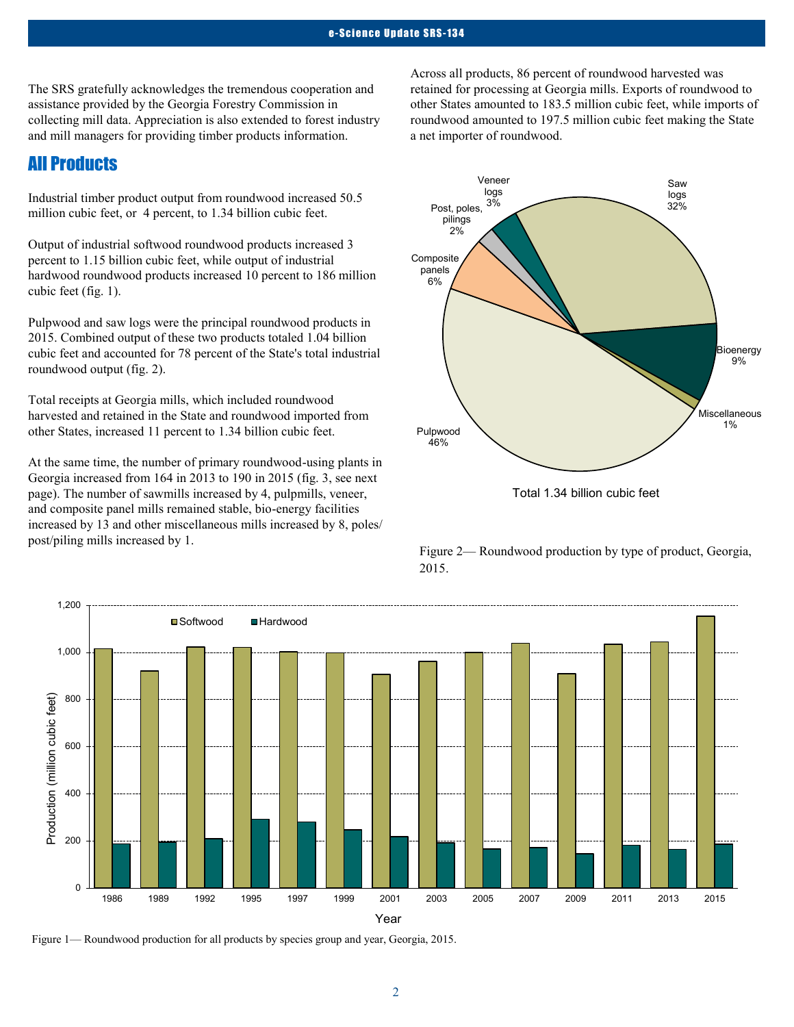The SRS gratefully acknowledges the tremendous cooperation and assistance provided by the Georgia Forestry Commission in collecting mill data. Appreciation is also extended to forest industry and mill managers for providing timber products information.

## All Products

Industrial timber product output from roundwood increased 50.5 million cubic feet, or 4 percent, to 1.34 billion cubic feet.

Output of industrial softwood roundwood products increased 3 percent to 1.15 billion cubic feet, while output of industrial hardwood roundwood products increased 10 percent to 186 million cubic feet (fig. 1).

Pulpwood and saw logs were the principal roundwood products in 2015. Combined output of these two products totaled 1.04 billion cubic feet and accounted for 78 percent of the State's total industrial roundwood output (fig. 2).

Total receipts at Georgia mills, which included roundwood harvested and retained in the State and roundwood imported from other States, increased 11 percent to 1.34 billion cubic feet.

At the same time, the number of primary roundwood-using plants in Georgia increased from 164 in 2013 to 190 in 2015 (fig. 3, see next page). The number of sawmills increased by 4, pulpmills, veneer, and composite panel mills remained stable, bio-energy facilities increased by 13 and other miscellaneous mills increased by 8, poles/ post/piling mills increased by 1.

Across all products, 86 percent of roundwood harvested was retained for processing at Georgia mills. Exports of roundwood to other States amounted to 183.5 million cubic feet, while imports of roundwood amounted to 197.5 million cubic feet making the State a net importer of roundwood.





Figure 2— Roundwood production by type of product, Georgia, 2015.



Figure 1— Roundwood production for all products by species group and year, Georgia, 2015.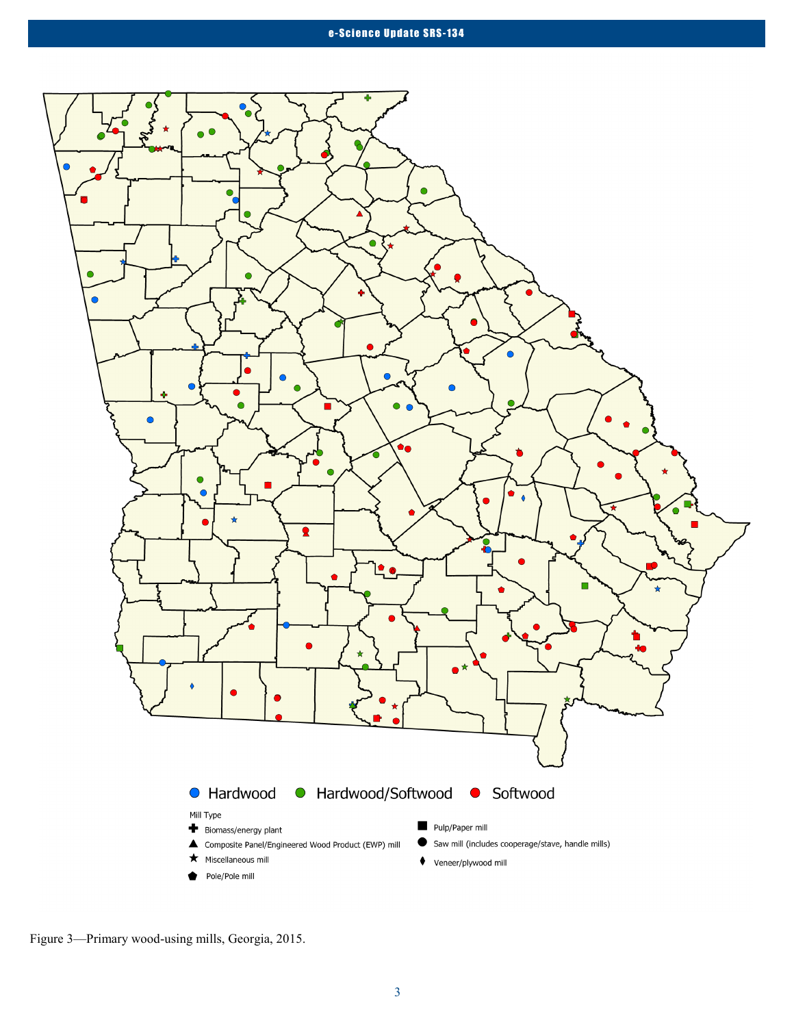

Figure 3—Primary wood-using mills, Georgia, 2015.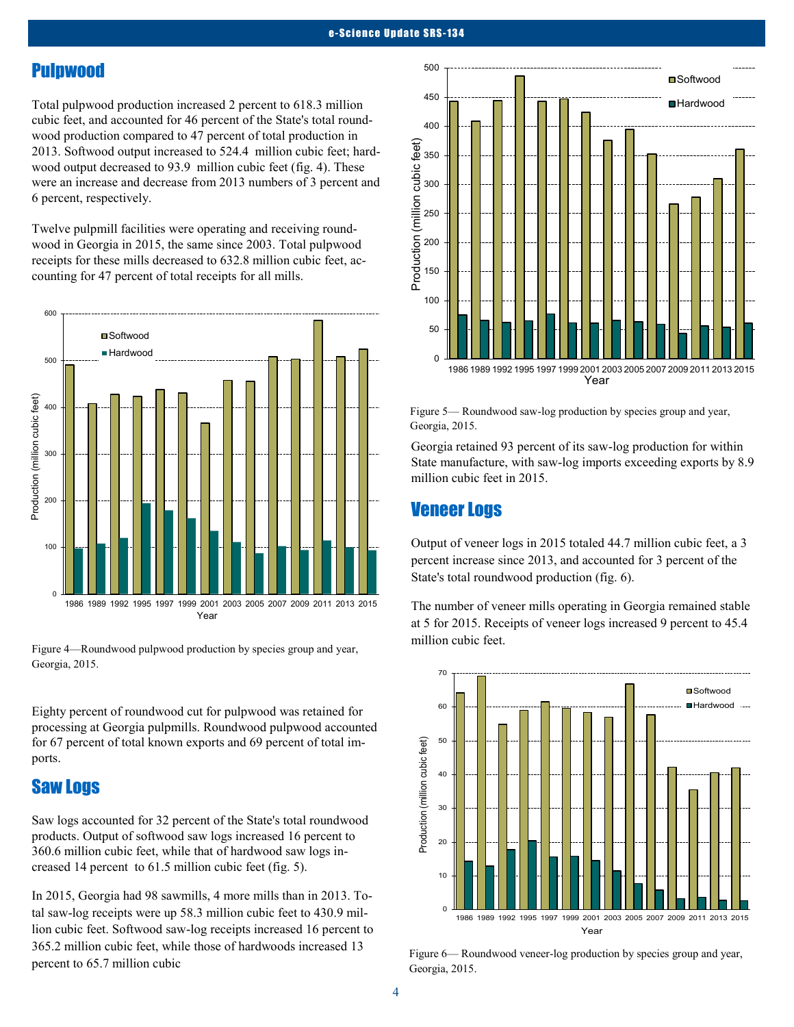## Pulpwood

Total pulpwood production increased 2 percent to 618.3 million cubic feet, and accounted for 46 percent of the State's total roundwood production compared to 47 percent of total production in 2013. Softwood output increased to 524.4 million cubic feet; hardwood output decreased to 93.9 million cubic feet (fig. 4). These were an increase and decrease from 2013 numbers of 3 percent and 6 percent, respectively.

Twelve pulpmill facilities were operating and receiving roundwood in Georgia in 2015, the same since 2003. Total pulpwood receipts for these mills decreased to 632.8 million cubic feet, accounting for 47 percent of total receipts for all mills.



Figure 4—Roundwood pulpwood production by species group and year, Georgia, 2015.

Eighty percent of roundwood cut for pulpwood was retained for processing at Georgia pulpmills. Roundwood pulpwood accounted for 67 percent of total known exports and 69 percent of total imports.

#### Saw Logs

Saw logs accounted for 32 percent of the State's total roundwood products. Output of softwood saw logs increased 16 percent to 360.6 million cubic feet, while that of hardwood saw logs increased 14 percent to 61.5 million cubic feet (fig. 5).

In 2015, Georgia had 98 sawmills, 4 more mills than in 2013. Total saw-log receipts were up 58.3 million cubic feet to 430.9 million cubic feet. Softwood saw-log receipts increased 16 percent to 365.2 million cubic feet, while those of hardwoods increased 13 percent to 65.7 million cubic



Figure 5— Roundwood saw-log production by species group and year, Georgia, 2015.

Georgia retained 93 percent of its saw-log production for within State manufacture, with saw-log imports exceeding exports by 8.9 million cubic feet in 2015.

#### Veneer Logs

Output of veneer logs in 2015 totaled 44.7 million cubic feet, a 3 percent increase since 2013, and accounted for 3 percent of the State's total roundwood production (fig. 6).

The number of veneer mills operating in Georgia remained stable at 5 for 2015. Receipts of veneer logs increased 9 percent to 45.4 million cubic feet.



Figure 6— Roundwood veneer-log production by species group and year, Georgia, 2015.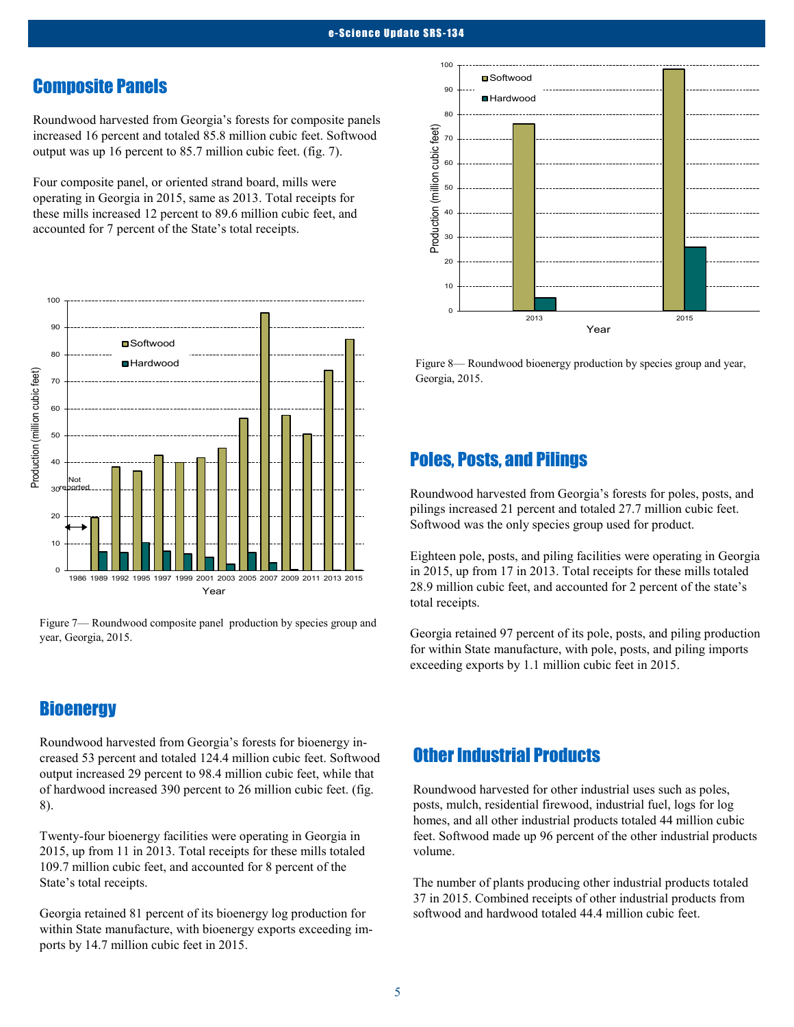#### Composite Panels

Roundwood harvested from Georgia's forests for composite panels increased 16 percent and totaled 85.8 million cubic feet. Softwood output was up 16 percent to 85.7 million cubic feet. (fig. 7).

Four composite panel, or oriented strand board, mills were operating in Georgia in 2015, same as 2013. Total receipts for these mills increased 12 percent to 89.6 million cubic feet, and accounted for 7 percent of the State's total receipts.



Figure 7— Roundwood composite panel production by species group and year, Georgia, 2015.

## **Bioenergy**

Roundwood harvested from Georgia's forests for bioenergy increased 53 percent and totaled 124.4 million cubic feet. Softwood output increased 29 percent to 98.4 million cubic feet, while that of hardwood increased 390 percent to 26 million cubic feet. (fig. 8).

Twenty-four bioenergy facilities were operating in Georgia in 2015, up from 11 in 2013. Total receipts for these mills totaled 109.7 million cubic feet, and accounted for 8 percent of the State's total receipts.

Georgia retained 81 percent of its bioenergy log production for within State manufacture, with bioenergy exports exceeding imports by 14.7 million cubic feet in 2015.



Figure 8— Roundwood bioenergy production by species group and year, Georgia, 2015.

## Poles, Posts, and Pilings

Roundwood harvested from Georgia's forests for poles, posts, and pilings increased 21 percent and totaled 27.7 million cubic feet. Softwood was the only species group used for product.

Eighteen pole, posts, and piling facilities were operating in Georgia in 2015, up from 17 in 2013. Total receipts for these mills totaled 28.9 million cubic feet, and accounted for 2 percent of the state's total receipts.

Georgia retained 97 percent of its pole, posts, and piling production for within State manufacture, with pole, posts, and piling imports exceeding exports by 1.1 million cubic feet in 2015.

## Other Industrial Products

Roundwood harvested for other industrial uses such as poles, posts, mulch, residential firewood, industrial fuel, logs for log homes, and all other industrial products totaled 44 million cubic feet. Softwood made up 96 percent of the other industrial products volume.

The number of plants producing other industrial products totaled 37 in 2015. Combined receipts of other industrial products from softwood and hardwood totaled 44.4 million cubic feet.